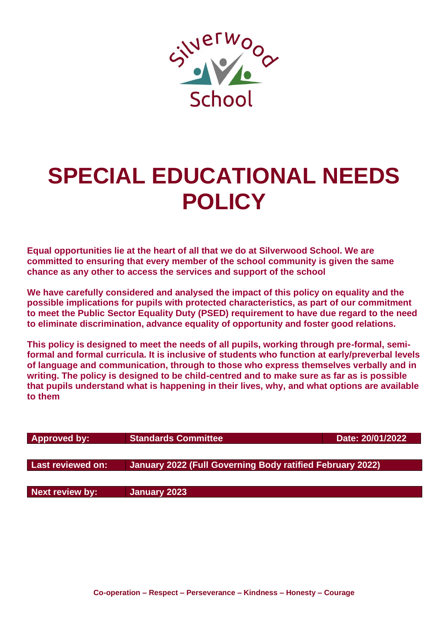

# **SPECIAL EDUCATIONAL NEEDS POLICY**

**Equal opportunities lie at the heart of all that we do at Silverwood School. We are committed to ensuring that every member of the school community is given the same chance as any other to access the services and support of the school**

**We have carefully considered and analysed the impact of this policy on equality and the possible implications for pupils with protected characteristics, as part of our commitment to meet the Public Sector Equality Duty (PSED) requirement to have due regard to the need to eliminate discrimination, advance equality of opportunity and foster good relations.**

**This policy is designed to meet the needs of all pupils, working through pre-formal, semiformal and formal curricula. It is inclusive of students who function at early/preverbal levels of language and communication, through to those who express themselves verbally and in writing. The policy is designed to be child-centred and to make sure as far as is possible that pupils understand what is happening in their lives, why, and what options are available to them**

| <b>Approved by:</b> | <b>Standards Committee</b>                                | Date: 20/01/2022 |
|---------------------|-----------------------------------------------------------|------------------|
|                     |                                                           |                  |
| Last reviewed on:   | January 2022 (Full Governing Body ratified February 2022) |                  |
|                     |                                                           |                  |
| Next review by:     | January 2023                                              |                  |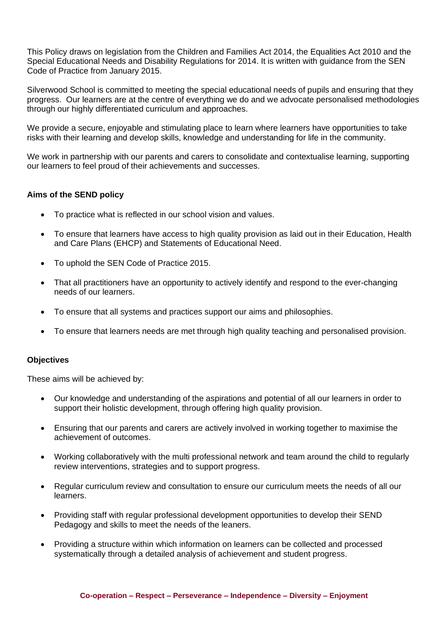This Policy draws on legislation from the Children and Families Act 2014, the Equalities Act 2010 and the Special Educational Needs and Disability Regulations for 2014. It is written with guidance from the SEN Code of Practice from January 2015.

Silverwood School is committed to meeting the special educational needs of pupils and ensuring that they progress. Our learners are at the centre of everything we do and we advocate personalised methodologies through our highly differentiated curriculum and approaches.

We provide a secure, enjoyable and stimulating place to learn where learners have opportunities to take risks with their learning and develop skills, knowledge and understanding for life in the community.

We work in partnership with our parents and carers to consolidate and contextualise learning, supporting our learners to feel proud of their achievements and successes.

# **Aims of the SEND policy**

- To practice what is reflected in our school vision and values.
- To ensure that learners have access to high quality provision as laid out in their Education, Health and Care Plans (EHCP) and Statements of Educational Need.
- To uphold the SEN Code of Practice 2015.
- That all practitioners have an opportunity to actively identify and respond to the ever-changing needs of our learners.
- To ensure that all systems and practices support our aims and philosophies.
- To ensure that learners needs are met through high quality teaching and personalised provision.

### **Objectives**

These aims will be achieved by:

- Our knowledge and understanding of the aspirations and potential of all our learners in order to support their holistic development, through offering high quality provision.
- Ensuring that our parents and carers are actively involved in working together to maximise the achievement of outcomes.
- Working collaboratively with the multi professional network and team around the child to regularly review interventions, strategies and to support progress.
- Regular curriculum review and consultation to ensure our curriculum meets the needs of all our learners.
- Providing staff with regular professional development opportunities to develop their SEND Pedagogy and skills to meet the needs of the leaners.
- Providing a structure within which information on learners can be collected and processed systematically through a detailed analysis of achievement and student progress.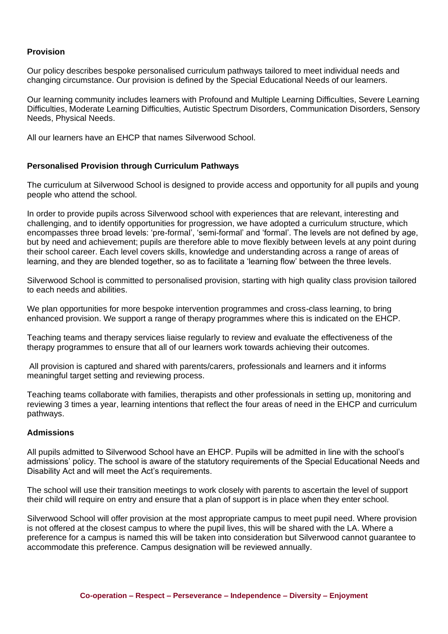## **Provision**

Our policy describes bespoke personalised curriculum pathways tailored to meet individual needs and changing circumstance. Our provision is defined by the Special Educational Needs of our learners.

Our learning community includes learners with Profound and Multiple Learning Difficulties, Severe Learning Difficulties, Moderate Learning Difficulties, Autistic Spectrum Disorders, Communication Disorders, Sensory Needs, Physical Needs.

All our learners have an EHCP that names Silverwood School.

## **Personalised Provision through Curriculum Pathways**

The curriculum at Silverwood School is designed to provide access and opportunity for all pupils and young people who attend the school.

In order to provide pupils across Silverwood school with experiences that are relevant, interesting and challenging, and to identify opportunities for progression, we have adopted a curriculum structure, which encompasses three broad levels: 'pre-formal', 'semi-formal' and 'formal'. The levels are not defined by age, but by need and achievement; pupils are therefore able to move flexibly between levels at any point during their school career. Each level covers skills, knowledge and understanding across a range of areas of learning, and they are blended together, so as to facilitate a 'learning flow' between the three levels.

Silverwood School is committed to personalised provision, starting with high quality class provision tailored to each needs and abilities.

We plan opportunities for more bespoke intervention programmes and cross-class learning, to bring enhanced provision. We support a range of therapy programmes where this is indicated on the EHCP.

Teaching teams and therapy services liaise regularly to review and evaluate the effectiveness of the therapy programmes to ensure that all of our learners work towards achieving their outcomes.

All provision is captured and shared with parents/carers, professionals and learners and it informs meaningful target setting and reviewing process.

Teaching teams collaborate with families, therapists and other professionals in setting up, monitoring and reviewing 3 times a year, learning intentions that reflect the four areas of need in the EHCP and curriculum pathways.

### **Admissions**

All pupils admitted to Silverwood School have an EHCP. Pupils will be admitted in line with the school's admissions' policy. The school is aware of the statutory requirements of the Special Educational Needs and Disability Act and will meet the Act's requirements.

The school will use their transition meetings to work closely with parents to ascertain the level of support their child will require on entry and ensure that a plan of support is in place when they enter school.

Silverwood School will offer provision at the most appropriate campus to meet pupil need. Where provision is not offered at the closest campus to where the pupil lives, this will be shared with the LA. Where a preference for a campus is named this will be taken into consideration but Silverwood cannot guarantee to accommodate this preference. Campus designation will be reviewed annually.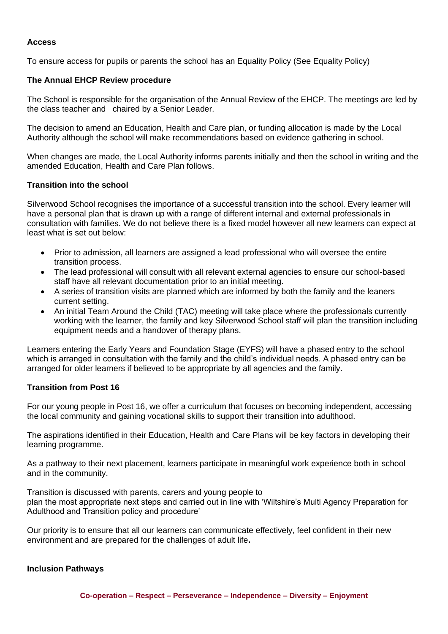# **Access**

To ensure access for pupils or parents the school has an Equality Policy (See Equality Policy)

## **The Annual EHCP Review procedure**

The School is responsible for the organisation of the Annual Review of the EHCP. The meetings are led by the class teacher and chaired by a Senior Leader.

The decision to amend an Education, Health and Care plan, or funding allocation is made by the Local Authority although the school will make recommendations based on evidence gathering in school.

When changes are made, the Local Authority informs parents initially and then the school in writing and the amended Education, Health and Care Plan follows.

## **Transition into the school**

Silverwood School recognises the importance of a successful transition into the school. Every learner will have a personal plan that is drawn up with a range of different internal and external professionals in consultation with families. We do not believe there is a fixed model however all new learners can expect at least what is set out below:

- Prior to admission, all learners are assigned a lead professional who will oversee the entire transition process.
- The lead professional will consult with all relevant external agencies to ensure our school-based staff have all relevant documentation prior to an initial meeting.
- A series of transition visits are planned which are informed by both the family and the leaners current setting.
- An initial Team Around the Child (TAC) meeting will take place where the professionals currently working with the learner, the family and key Silverwood School staff will plan the transition including equipment needs and a handover of therapy plans.

Learners entering the Early Years and Foundation Stage (EYFS) will have a phased entry to the school which is arranged in consultation with the family and the child's individual needs. A phased entry can be arranged for older learners if believed to be appropriate by all agencies and the family.

# **Transition from Post 16**

For our young people in Post 16, we offer a curriculum that focuses on becoming independent, accessing the local community and gaining vocational skills to support their transition into adulthood.

The aspirations identified in their Education, Health and Care Plans will be key factors in developing their learning programme.

As a pathway to their next placement, learners participate in meaningful work experience both in school and in the community.

Transition is discussed with parents, carers and young people to plan the most appropriate next steps and carried out in line with 'Wiltshire's Multi Agency Preparation for Adulthood and Transition policy and procedure'

Our priority is to ensure that all our learners can communicate effectively, feel confident in their new environment and are prepared for the challenges of adult life**.**

### **Inclusion Pathways**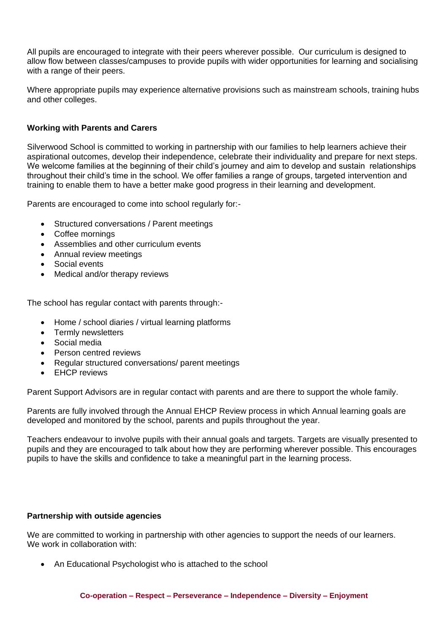All pupils are encouraged to integrate with their peers wherever possible. Our curriculum is designed to allow flow between classes/campuses to provide pupils with wider opportunities for learning and socialising with a range of their peers.

Where appropriate pupils may experience alternative provisions such as mainstream schools, training hubs and other colleges.

# **Working with Parents and Carers**

Silverwood School is committed to working in partnership with our families to help learners achieve their aspirational outcomes, develop their independence, celebrate their individuality and prepare for next steps. We welcome families at the beginning of their child's journey and aim to develop and sustain relationships throughout their child's time in the school. We offer families a range of groups, targeted intervention and training to enable them to have a better make good progress in their learning and development.

Parents are encouraged to come into school regularly for:-

- Structured conversations / Parent meetings
- Coffee mornings
- Assemblies and other curriculum events
- Annual review meetings
- Social events
- Medical and/or therapy reviews

The school has regular contact with parents through:-

- Home / school diaries / virtual learning platforms
- Termly newsletters
- Social media
- Person centred reviews
- Regular structured conversations/ parent meetings
- **EHCP** reviews

Parent Support Advisors are in regular contact with parents and are there to support the whole family.

Parents are fully involved through the Annual EHCP Review process in which Annual learning goals are developed and monitored by the school, parents and pupils throughout the year.

Teachers endeavour to involve pupils with their annual goals and targets. Targets are visually presented to pupils and they are encouraged to talk about how they are performing wherever possible. This encourages pupils to have the skills and confidence to take a meaningful part in the learning process.

# **Partnership with outside agencies**

We are committed to working in partnership with other agencies to support the needs of our learners. We work in collaboration with:

• An Educational Psychologist who is attached to the school